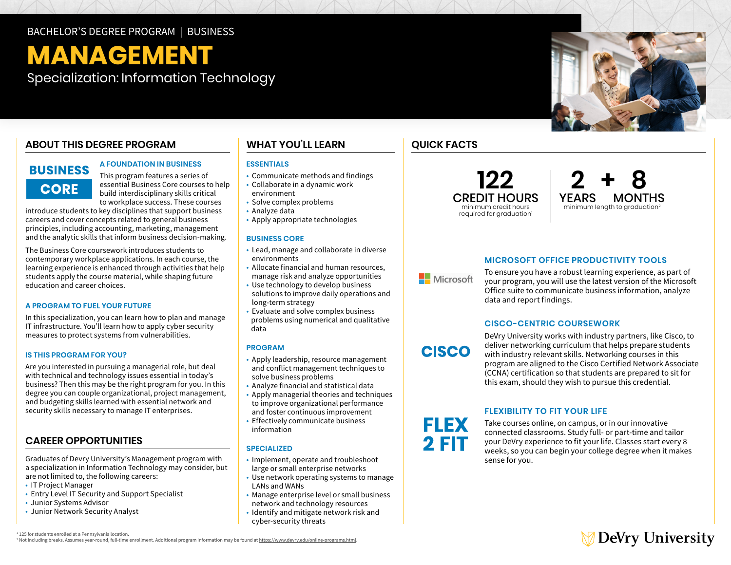# BACHELOR'S DEGREE PROGRAM | BUSINESS

# **MANAGEMENT**

Specialization: Information Technology

# **ABOUT THIS DEGREE PROGRAM**

# **BUSINESS CORE**

# **A FOUNDATION IN BUSINESS**

This program features a series of essential Business Core courses to help build interdisciplinary skills critical to workplace success. These courses

introduce students to key disciplines that support business careers and cover concepts related to general business principles, including accounting, marketing, management and the analytic skills that inform business decision-making.

The Business Core coursework introduces students to contemporary workplace applications. In each course, the learning experience is enhanced through activities that help students apply the course material, while shaping future education and career choices.

#### **A PROGRAM TO FUEL YOUR FUTURE**

In this specialization, you can learn how to plan and manage IT infrastructure. You'll learn how to apply cyber security measures to protect systems from vulnerabilities.

#### **IS THIS PROGRAM FOR YOU?**

Are you interested in pursuing a managerial role, but deal with technical and technology issues essential in today's business? Then this may be the right program for you. In this degree you can couple organizational, project management, and budgeting skills learned with essential network and security skills necessary to manage IT enterprises.

# **CAREER OPPORTUNITIES**

Graduates of Devry University's Management program with a specialization in Information Technology may consider, but are not limited to, the following careers:

- IT Project Manager
- Entry Level IT Security and Support Specialist
- Junior Systems Advisor
- Junior Network Security Analyst

# **WHAT YOU'LL LEARN**

## **ESSENTIALS**

- Communicate methods and findings
- Collaborate in a dynamic work environment
- Solve complex problems
- Analyze data
- Apply appropriate technologies

#### **BUSINESS CORE**

- Lead, manage and collaborate in diverse environments
- Allocate financial and human resources, manage risk and analyze opportunities
- Use technology to develop business solutions to improve daily operations and long-term strategy
- Evaluate and solve complex business problems using numerical and qualitative data

#### **PROGRAM**

- Apply leadership, resource management and conflict management techniques to solve business problems
- Analyze financial and statistical data
- Apply managerial theories and techniques to improve organizational performance and foster continuous improvement
- Effectively communicate business information

## **SPECIALIZED**

- Implement, operate and troubleshoot large or small enterprise networks
- Use network operating systems to manage LANs and WANs
- Manage enterprise level or small business network and technology resources
- Identify and mitigate network risk and cyber-security threats

# **QUICK FACTS**

# **122** CREDIT HOURS minimum credit hours required for graduation<sup>1</sup>



# **MICROSOFT OFFICE PRODUCTIVITY TOOLS**

**Nicrosoft** 

**CISCO** 

FLEX 2 FIT

To ensure you have a robust learning experience, as part of your program, you will use the latest version of the Microsoft Office suite to communicate business information, analyze data and report findings.

## **CISCO-CENTRIC COURSEWORK**

DeVry University works with industry partners, like Cisco, to deliver networking curriculum that helps prepare students with industry relevant skills. Networking courses in this program are aligned to the Cisco Certified Network Associate (CCNA) certification so that students are prepared to sit for this exam, should they wish to pursue this credential.

# **FLEXIBILITY TO FIT YOUR LIFE**

Take courses online, on campus, or in our innovative connected classrooms. Study full- or part-time and tailor your DeVry experience to fit your life. Classes start every 8 weeks, so you can begin your college degree when it makes sense for you.



1 125 for students enrolled at a Pennsylvania location. <sup>2</sup> Not including breaks. Assumes year-round, full-time enrollment. Additional program information may be found at https://www.devry.edu/online-programs.html.